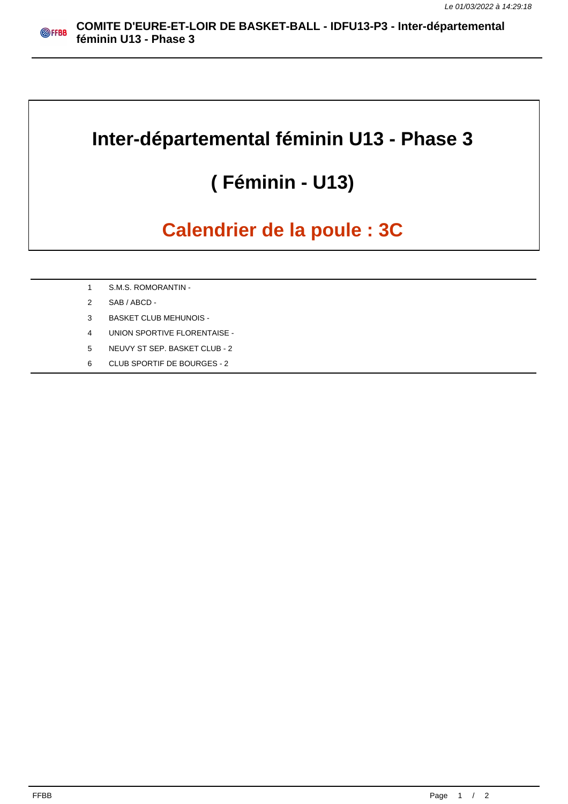## **Inter-départemental féminin U13 - Phase 3**

## **( Féminin - U13)**

## **Calendrier de la poule : 3C**

- 1 S.M.S. ROMORANTIN -
- 2 SAB / ABCD -
- 3 BASKET CLUB MEHUNOIS -
- 4 UNION SPORTIVE FLORENTAISE -
- 5 NEUVY ST SEP. BASKET CLUB 2
- 6 CLUB SPORTIF DE BOURGES 2